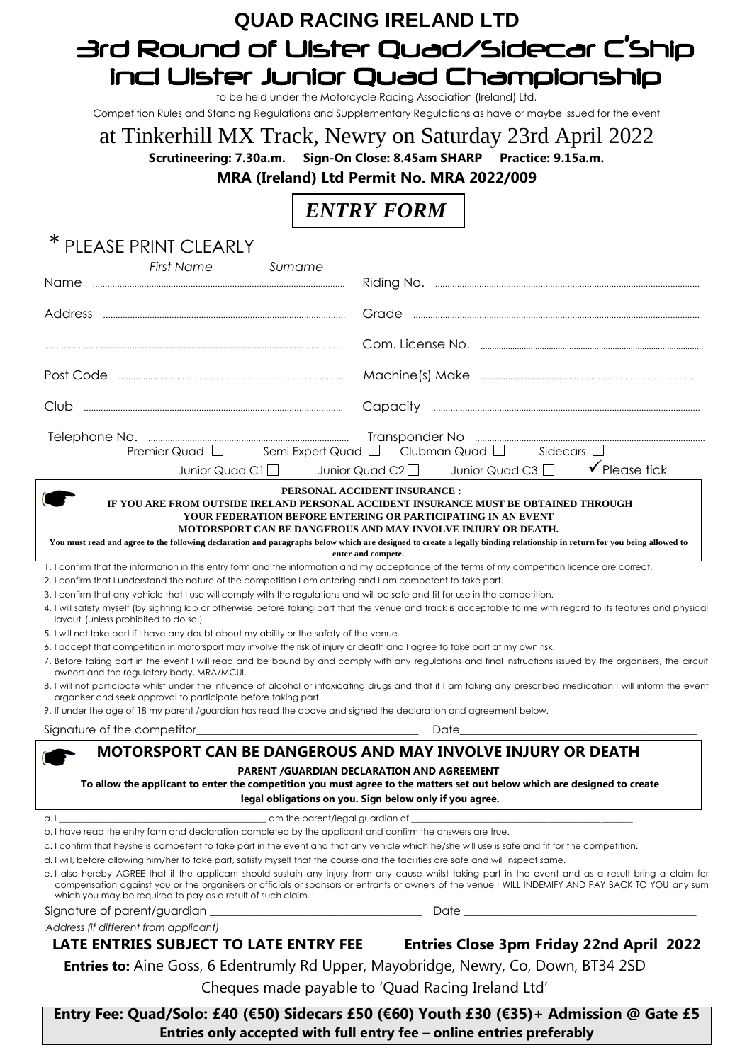## **QUAD RACING IRELAND LTD** 3rd Round of Ulster Quad/Sidecar C'Ship incl Ulster Junior Quad Championship

to be held under the Motorcycle Racing Association (Ireland) Ltd,

Competition Rules and Standing Regulations and Supplementary Regulations as have or maybe issued for the event

# at Tinkerhill MX Track, Newry on Saturday 23rd April 2022

**Scrutineering: 7.30a.m. Sign-On Close: 8.45am SHARP Practice: 9.15a.m.** 

**MRA (Ireland) Ltd Permit No. MRA 2022/009**

## *ENTRY FORM*

| ∗<br>PLEASE PRINT CLEARLY                                                                                                                                                                                                                                                                                                                                                                                              |                                                                                                                                                                                                                                |
|------------------------------------------------------------------------------------------------------------------------------------------------------------------------------------------------------------------------------------------------------------------------------------------------------------------------------------------------------------------------------------------------------------------------|--------------------------------------------------------------------------------------------------------------------------------------------------------------------------------------------------------------------------------|
| <b>First Name</b><br>Surname                                                                                                                                                                                                                                                                                                                                                                                           |                                                                                                                                                                                                                                |
| <b>Name</b>                                                                                                                                                                                                                                                                                                                                                                                                            |                                                                                                                                                                                                                                |
|                                                                                                                                                                                                                                                                                                                                                                                                                        |                                                                                                                                                                                                                                |
|                                                                                                                                                                                                                                                                                                                                                                                                                        |                                                                                                                                                                                                                                |
|                                                                                                                                                                                                                                                                                                                                                                                                                        |                                                                                                                                                                                                                                |
| $\begin{bmatrix} \begin{bmatrix} 0 & 0 & 0 & 0 \\ 0 & 0 & 0 & 0 \\ 0 & 0 & 0 & 0 \\ 0 & 0 & 0 & 0 \\ 0 & 0 & 0 & 0 \\ 0 & 0 & 0 & 0 \\ 0 & 0 & 0 & 0 \\ 0 & 0 & 0 & 0 & 0 \\ 0 & 0 & 0 & 0 & 0 \\ 0 & 0 & 0 & 0 & 0 \\ 0 & 0 & 0 & 0 & 0 \\ 0 & 0 & 0 & 0 & 0 \\ 0 & 0 & 0 & 0 & 0 & 0 \\ 0 & 0 & 0 & 0 & 0 & 0 \\ 0 & 0 & 0 & 0 & $<br>Club                                                                           |                                                                                                                                                                                                                                |
|                                                                                                                                                                                                                                                                                                                                                                                                                        | Premier Quad $\Box$ Semi Expert Quad $\Box$ Clubman Quad $\Box$ Sidecars $\Box$                                                                                                                                                |
| Junior Quad C1 $\square$                                                                                                                                                                                                                                                                                                                                                                                               | $\checkmark$ Please tick<br>Junior Quad C3<br>Junior Quad C2 $\square$                                                                                                                                                         |
|                                                                                                                                                                                                                                                                                                                                                                                                                        | PERSONAL ACCIDENT INSURANCE :                                                                                                                                                                                                  |
| IF YOU ARE FROM OUTSIDE IRELAND PERSONAL ACCIDENT INSURANCE MUST BE OBTAINED THROUGH<br>YOUR FEDERATION BEFORE ENTERING OR PARTICIPATING IN AN EVENT<br>MOTORSPORT CAN BE DANGEROUS AND MAY INVOLVE INJURY OR DEATH.<br>You must read and agree to the following declaration and paragraphs below which are designed to create a legally binding relationship in return for you being allowed to<br>enter and compete. |                                                                                                                                                                                                                                |
|                                                                                                                                                                                                                                                                                                                                                                                                                        | 1. I confirm that the information in this entry form and the information and my acceptance of the terms of my competition licence are correct.                                                                                 |
| 2. I confirm that I understand the nature of the competition I am entering and I am competent to take part.                                                                                                                                                                                                                                                                                                            |                                                                                                                                                                                                                                |
| 3. I confirm that any vehicle that I use will comply with the regulations and will be safe and fit for use in the competition.                                                                                                                                                                                                                                                                                         |                                                                                                                                                                                                                                |
| layout (unless prohibited to do so.)                                                                                                                                                                                                                                                                                                                                                                                   | 4. I will satisfy myself (by sighting lap or otherwise before taking part that the venue and track is acceptable to me with regard to its features and physical                                                                |
| 5. I will not take part if I have any doubt about my ability or the safety of the venue.                                                                                                                                                                                                                                                                                                                               |                                                                                                                                                                                                                                |
| 6. I accept that competition in motorsport may involve the risk of injury or death and I agree to take part at my own risk.<br>owners and the regulatory body, MRA/MCUI.                                                                                                                                                                                                                                               | 7. Before taking part in the event I will read and be bound by and comply with any regulations and final instructions issued by the organisers, the circuit                                                                    |
| organiser and seek approval to participate before taking part.                                                                                                                                                                                                                                                                                                                                                         | 8. I will not participate whilst under the influence of alcohol or intoxicating drugs and that if I am taking any prescribed medication I will inform the event                                                                |
| 9. If under the age of 18 my parent /guardian has read the above and signed the declaration and agreement below.                                                                                                                                                                                                                                                                                                       |                                                                                                                                                                                                                                |
|                                                                                                                                                                                                                                                                                                                                                                                                                        | Date the contract of the contract of the contract of the contract of the contract of the contract of the contract of the contract of the contract of the contract of the contract of the contract of the contract of the contr |
| MOTORSPORT CAN BE DANGEROUS AND MAY INVOLVE INJURY OR DEATH<br><b>PARENT /GUARDIAN DECLARATION AND AGREEMENT</b><br>To allow the applicant to enter the competition you must agree to the matters set out below which are designed to create<br>legal obligations on you. Sign below only if you agree.                                                                                                                |                                                                                                                                                                                                                                |
|                                                                                                                                                                                                                                                                                                                                                                                                                        |                                                                                                                                                                                                                                |
| a. I                                                                                                                                                                                                                                                                                                                                                                                                                   | _____ am the parent/legal guardian of ___________                                                                                                                                                                              |
| b. I have read the entry form and declaration completed by the applicant and confirm the answers are true.<br>c. I confirm that he/she is competent to take part in the event and that any vehicle which he/she will use is safe and fit for the competition.                                                                                                                                                          |                                                                                                                                                                                                                                |
| d. I will, before allowing him/her to take part, satisfy myself that the course and the facilities are safe and will inspect same.                                                                                                                                                                                                                                                                                     |                                                                                                                                                                                                                                |
|                                                                                                                                                                                                                                                                                                                                                                                                                        | e. I also hereby AGREE that if the applicant should sustain any injury from any cause whilst taking part in the event and as a result bring a claim for                                                                        |
| which you may be required to pay as a result of such claim.                                                                                                                                                                                                                                                                                                                                                            | compensation against you or the organisers or officials or sponsors or entrants or owners of the venue I WILL INDEMIFY AND PAY BACK TO YOU any sum                                                                             |
|                                                                                                                                                                                                                                                                                                                                                                                                                        |                                                                                                                                                                                                                                |
| Address (if different from applicant) _______                                                                                                                                                                                                                                                                                                                                                                          |                                                                                                                                                                                                                                |
|                                                                                                                                                                                                                                                                                                                                                                                                                        | LATE ENTRIES SUBJECT TO LATE ENTRY FEE Entries Close 3pm Friday 22nd April 2022                                                                                                                                                |
| <b>Entries to:</b> Aine Goss, 6 Edentrumly Rd Upper, Mayobridge, Newry, Co, Down, BT34 2SD                                                                                                                                                                                                                                                                                                                             |                                                                                                                                                                                                                                |
| Cheques made payable to 'Quad Racing Ireland Ltd'                                                                                                                                                                                                                                                                                                                                                                      |                                                                                                                                                                                                                                |
|                                                                                                                                                                                                                                                                                                                                                                                                                        | $F$ ntry Ego: Quad/Solo: £40 (£50) Sidesars £50 (£60) Vouth £20 (£25) $\mu$ Admission @ Gate £5                                                                                                                                |

**Entry Fee: Quad/Solo: £40 (€50) Sidecars £50 (€60) Youth £30 (€35)+ Admission @ Gate £5 Entries only accepted with full entry fee – online entries preferably**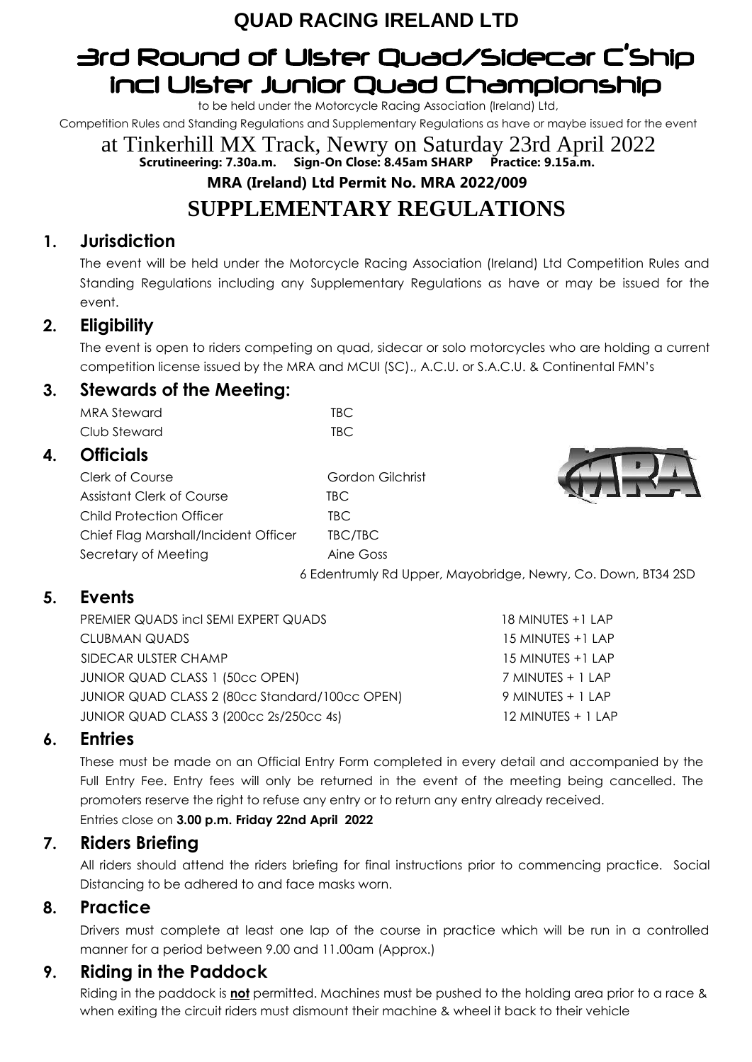## **QUAD RACING IRELAND LTD**

## 3rd Round of Ulster Quad/Sidecar C'Ship incl Ulster Junior Quad Championship

to be held under the Motorcycle Racing Association (Ireland) Ltd,

Competition Rules and Standing Regulations and Supplementary Regulations as have or maybe issued for the event

at Tinkerhill MX Track, Newry on Saturday 23rd April 2022 **Scrutineering: 7.30a.m. Sign-On Close: 8.45am SHARP Practice: 9.15a.m. MRA (Ireland) Ltd Permit No. MRA 2022/009 SUPPLEMENTARY REGULATIONS**

## **1. Jurisdiction**

The event will be held under the Motorcycle Racing Association (Ireland) Ltd Competition Rules and Standing Regulations including any Supplementary Regulations as have or may be issued for the event.

## **2. Eligibility**

The event is open to riders competing on quad, sidecar or solo motorcycles who are holding a current competition license issued by the MRA and MCUI (SC)., A.C.U. or S.A.C.U. & Continental FMN's

### **3. Stewards of the Meeting:**

MRA Steward TBC Club Steward TBC

### **4. Officials**

Clerk of Course Gordon Gilchrist Assistant Clerk of Course TBC Child Protection Officer TBC Chief Flag Marshall/Incident Officer TBC/TBC Secretary of Meeting **Aine Goss** 

6 Edentrumly Rd Upper, Mayobridge, Newry, Co. Down, BT34 2SD

## **5. Events**

PREMIER QUADS incl SEMI EXPERT QUADS 18 MINUTES +1 LAP CLUBMAN QUADS 15 MINUTES +1 LAP SIDECAR ULSTER CHAMP 15 MINUTES +1 LAP JUNIOR QUAD CLASS 1 (50cc OPEN) 7 MINUTES + 1 LAP JUNIOR QUAD CLASS 2 (80cc Standard/100cc OPEN) 9 MINUTES + 1 LAP JUNIOR QUAD CLASS 3 (200cc 2s/250cc 4s) 12 MINUTES + 1 LAP

### **6. Entries**

These must be made on an Official Entry Form completed in every detail and accompanied by the Full Entry Fee. Entry fees will only be returned in the event of the meeting being cancelled. The promoters reserve the right to refuse any entry or to return any entry already received. Entries close on **3.00 p.m. Friday 22nd April 2022**

### **7. Riders Briefing**

All riders should attend the riders briefing for final instructions prior to commencing practice. Social Distancing to be adhered to and face masks worn.

#### **8. Practice**

Drivers must complete at least one lap of the course in practice which will be run in a controlled manner for a period between 9.00 and 11.00am (Approx.)

## **9. Riding in the Paddock**

Riding in the paddock is **not** permitted. Machines must be pushed to the holding area prior to a race & when exiting the circuit riders must dismount their machine & wheel it back to their vehicle